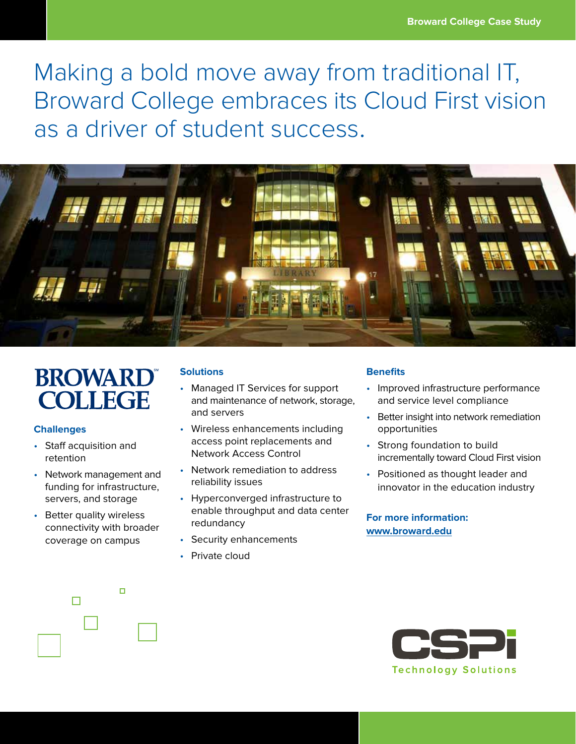Making a bold move away from traditional IT, Broward College embraces its Cloud First vision as a driver of student success.



# **BROWARI COLLEGE**

#### **Challenges**

- Staff acquisition and retention
- Network management and funding for infrastructure, servers, and storage
- Better quality wireless connectivity with broader coverage on campus

# **Solutions**

- Managed IT Services for support and maintenance of network, storage, and servers
- Wireless enhancements including access point replacements and Network Access Control
- Network remediation to address reliability issues
- Hyperconverged infrastructure to enable throughput and data center redundancy
- Security enhancements
- Private cloud

# **Benefits**

- Improved infrastructure performance and service level compliance
- Better insight into network remediation opportunities
- Strong foundation to build incrementally toward Cloud First vision
- Positioned as thought leader and innovator in the education industry

## **For more information: [www.broward.edu](http://www.broward.edu/)**



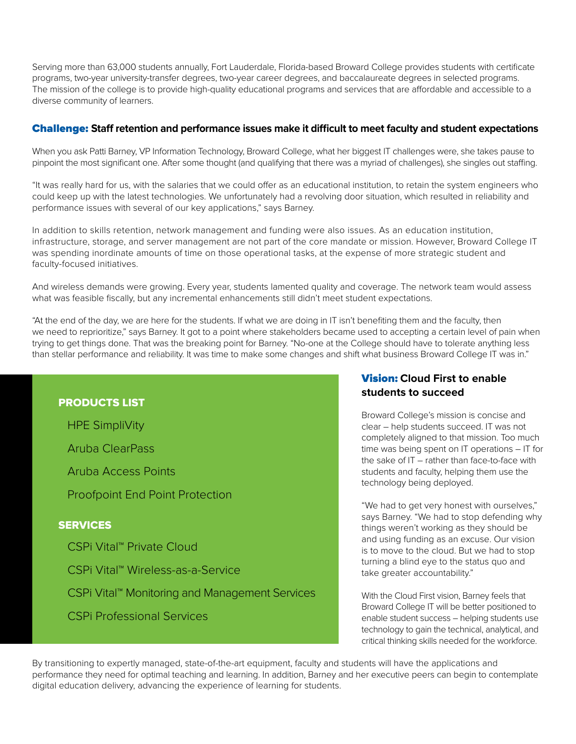Serving more than 63,000 students annually, Fort Lauderdale, Florida-based Broward College provides students with certificate programs, two-year university-transfer degrees, two-year career degrees, and baccalaureate degrees in selected programs. The mission of the college is to provide high-quality educational programs and services that are affordable and accessible to a diverse community of learners.

## Challenge: **Staff retention and performance issues make it difficult to meet faculty and student expectations**

When you ask Patti Barney, VP Information Technology, Broward College, what her biggest IT challenges were, she takes pause to pinpoint the most significant one. After some thought (and qualifying that there was a myriad of challenges), she singles out staffing.

"It was really hard for us, with the salaries that we could offer as an educational institution, to retain the system engineers who could keep up with the latest technologies. We unfortunately had a revolving door situation, which resulted in reliability and performance issues with several of our key applications," says Barney.

In addition to skills retention, network management and funding were also issues. As an education institution, infrastructure, storage, and server management are not part of the core mandate or mission. However, Broward College IT was spending inordinate amounts of time on those operational tasks, at the expense of more strategic student and faculty-focused initiatives.

And wireless demands were growing. Every year, students lamented quality and coverage. The network team would assess what was feasible fiscally, but any incremental enhancements still didn't meet student expectations.

"At the end of the day, we are here for the students. If what we are doing in IT isn't benefiting them and the faculty, then we need to reprioritize," says Barney. It got to a point where stakeholders became used to accepting a certain level of pain when trying to get things done. That was the breaking point for Barney. "No-one at the College should have to tolerate anything less than stellar performance and reliability. It was time to make some changes and shift what business Broward College IT was in."

### PRODUCTS LIST

HPE SimpliVity

Aruba ClearPass

Aruba Access Points

Proofpoint End Point Protection

#### **SERVICES**

CSPi Vital™ Private Cloud

CSPi Vital™ Wireless-as-a-Service

CSPi Vital™ Monitoring and Management Services

CSPi Professional Services

# Vision: **Cloud First to enable students to succeed**

Broward College's mission is concise and clear – help students succeed. IT was not completely aligned to that mission. Too much time was being spent on IT operations – IT for the sake of IT – rather than face-to-face with students and faculty, helping them use the technology being deployed.

"We had to get very honest with ourselves," says Barney. "We had to stop defending why things weren't working as they should be and using funding as an excuse. Our vision is to move to the cloud. But we had to stop turning a blind eye to the status quo and take greater accountability."

With the Cloud First vision, Barney feels that Broward College IT will be better positioned to enable student success – helping students use technology to gain the technical, analytical, and critical thinking skills needed for the workforce.

By transitioning to expertly managed, state-of-the-art equipment, faculty and students will have the applications and performance they need for optimal teaching and learning. In addition, Barney and her executive peers can begin to contemplate digital education delivery, advancing the experience of learning for students.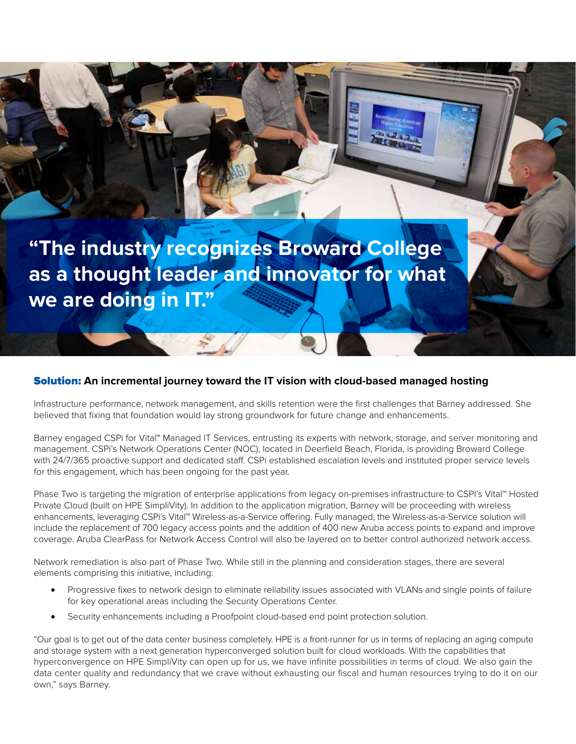

**as a thought leader and innovator for what we are doing in IT."**

#### Solution: **An incremental journey toward the IT vision with cloud-based managed hosting**

Infrastructure performance, network management, and skills retention were the first challenges that Barney addressed. She believed that fixing that foundation would lay strong groundwork for future change and enhancements.

Barney engaged CSPi for Vital™ Managed IT Services, entrusting its experts with network, storage, and server monitoring and management. CSPi's Network Operations Center (NOC), located in Deerfield Beach, Florida, is providing Broward College with 24/7/365 proactive support and dedicated staff. CSPi established escalation levels and instituted proper service levels for this engagement, which has been ongoing for the past year.

Phase Two is targeting the migration of enterprise applications from legacy on-premises infrastructure to CSPI's Vital™ Hosted Private Cloud (built on HPE SimpliVity). In addition to the application migration, Barney will be proceeding with wireless enhancements, leveraging CSPi's Vital™ Wireless-as-a-Service offering. Fully managed, the Wireless-as-a-Service solution will include the replacement of 700 legacy access points and the addition of 400 new Aruba access points to expand and improve coverage. Aruba ClearPass for Network Access Control will also be layered on to better control authorized network access.

Network remediation is also part of Phase Two. While still in the planning and consideration stages, there are several elements comprising this initiative, including:

- Progressive fixes to network design to eliminate reliability issues associated with VLANs and single points of failure for key operational areas including the Security Operations Center.
- Security enhancements including a Proofpoint cloud-based end point protection solution.

"Our goal is to get out of the data center business completely. HPE is a front-runner for us in terms of replacing an aging compute and storage system with a next generation hyperconverged solution built for cloud workloads. With the capabilities that hyperconvergence on HPE SimpliVity can open up for us, we have infinite possibilities in terms of cloud. We also gain the data center quality and redundancy that we crave without exhausting our fiscal and human resources trying to do it on our own," says Barney.